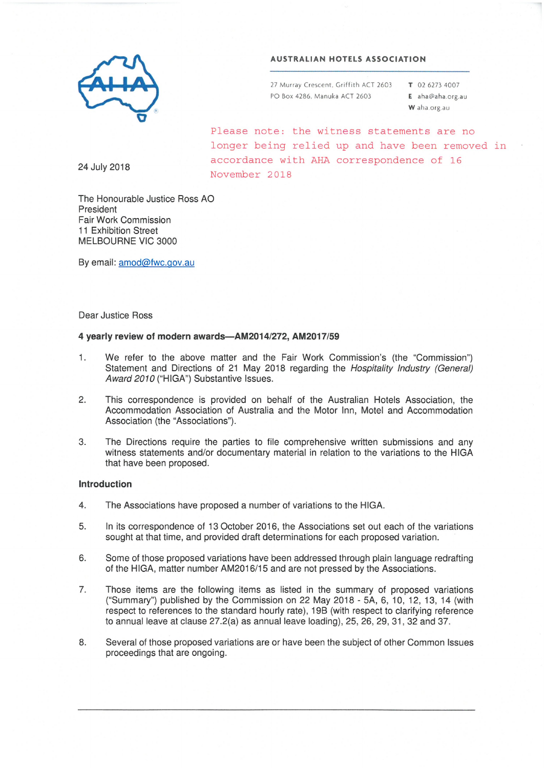#### **AUSTRALIAN HOTELS ASSOCIATION**

27 Murray Crescent, Griffith ACT 2603 PO Box 4286. Manuka ACT 2603

T 02 6273 4007 E aha@aha.org.au W aha.org.au

Please note: the witness statements are no longer being relied up and have been removed in accordance with AHA correspondence of 16 November 2018

24 July 2018

The Honourable Justice Ross AO President Fair Work Commission 11 Exhibition Street MELBOURNE VIC 3000

By email: amod@fwc.gov.au

#### **Dear Justice Ross**

#### 4 yearly review of modern awards-AM2014/272, AM2017/59

- $1:$ We refer to the above matter and the Fair Work Commission's (the "Commission") Statement and Directions of 21 May 2018 regarding the Hospitality Industry (General) Award 2010 ("HIGA") Substantive Issues.
- This correspondence is provided on behalf of the Australian Hotels Association, the 2. Accommodation Association of Australia and the Motor Inn, Motel and Accommodation Association (the "Associations").
- 3. The Directions require the parties to file comprehensive written submissions and any witness statements and/or documentary material in relation to the variations to the HIGA that have been proposed.

#### **Introduction**

- $4.$ The Associations have proposed a number of variations to the HIGA.
- 5. In its correspondence of 13 October 2016, the Associations set out each of the variations sought at that time, and provided draft determinations for each proposed variation.
- Some of those proposed variations have been addressed through plain language redrafting 6. of the HIGA, matter number AM2016/15 and are not pressed by the Associations.
- $7.$ Those items are the following items as listed in the summary of proposed variations ("Summary") published by the Commission on 22 May 2018 - 5A, 6, 10, 12, 13, 14 (with respect to references to the standard hourly rate), 19B (with respect to clarifying reference to annual leave at clause 27.2(a) as annual leave loading), 25, 26, 29, 31, 32 and 37.
- Several of those proposed variations are or have been the subject of other Common Issues 8. proceedings that are ongoing.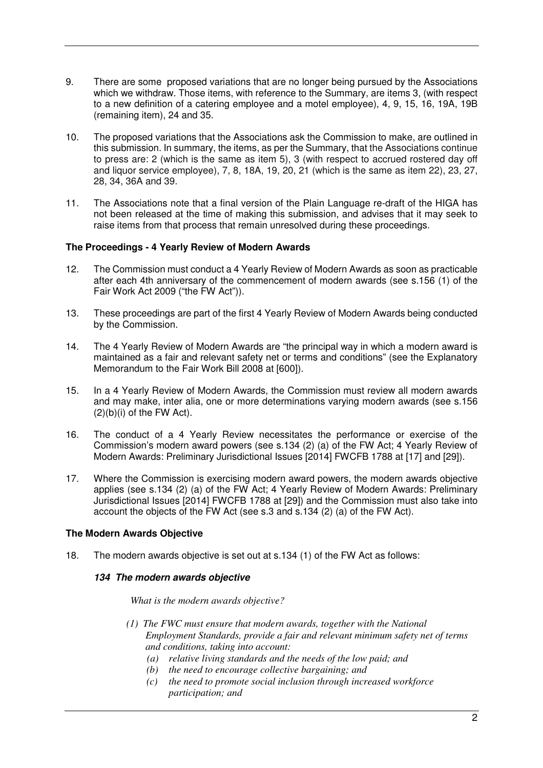- 9. There are some proposed variations that are no longer being pursued by the Associations which we withdraw. Those items, with reference to the Summary, are items 3, (with respect to a new definition of a catering employee and a motel employee), 4, 9, 15, 16, 19A, 19B (remaining item), 24 and 35.
- 10. The proposed variations that the Associations ask the Commission to make, are outlined in this submission. In summary, the items, as per the Summary, that the Associations continue to press are: 2 (which is the same as item 5), 3 (with respect to accrued rostered day off and liquor service employee), 7, 8, 18A, 19, 20, 21 (which is the same as item 22), 23, 27, 28, 34, 36A and 39.
- 11. The Associations note that a final version of the Plain Language re-draft of the HIGA has not been released at the time of making this submission, and advises that it may seek to raise items from that process that remain unresolved during these proceedings.

## **The Proceedings - 4 Yearly Review of Modern Awards**

- 12. The Commission must conduct a 4 Yearly Review of Modern Awards as soon as practicable after each 4th anniversary of the commencement of modern awards (see s.156 (1) of the Fair Work Act 2009 ("the FW Act")).
- 13. These proceedings are part of the first 4 Yearly Review of Modern Awards being conducted by the Commission.
- 14. The 4 Yearly Review of Modern Awards are "the principal way in which a modern award is maintained as a fair and relevant safety net or terms and conditions" (see the Explanatory Memorandum to the Fair Work Bill 2008 at [600]).
- 15. In a 4 Yearly Review of Modern Awards, the Commission must review all modern awards and may make, inter alia, one or more determinations varying modern awards (see s.156  $(2)(b)(i)$  of the FW Act).
- 16. The conduct of a 4 Yearly Review necessitates the performance or exercise of the Commission's modern award powers (see s.134 (2) (a) of the FW Act; 4 Yearly Review of Modern Awards: Preliminary Jurisdictional Issues [2014] FWCFB 1788 at [17] and [29]).
- 17. Where the Commission is exercising modern award powers, the modern awards objective applies (see s.134 (2) (a) of the FW Act; 4 Yearly Review of Modern Awards: Preliminary Jurisdictional Issues [2014] FWCFB 1788 at [29]) and the Commission must also take into account the objects of the FW Act (see s.3 and s.134 (2) (a) of the FW Act).

## **The Modern Awards Objective**

18. The modern awards objective is set out at s.134 (1) of the FW Act as follows:

## **134 The modern awards objective**

## *What is the modern awards objective?*

- *(1) The FWC must ensure that modern awards, together with the National Employment Standards, provide a fair and relevant minimum safety net of terms and conditions, taking into account:* 
	- *(a) relative living standards and the needs of the low paid; and*
	- *(b) the need to encourage collective bargaining; and*
	- *(c) the need to promote social inclusion through increased workforce participation; and*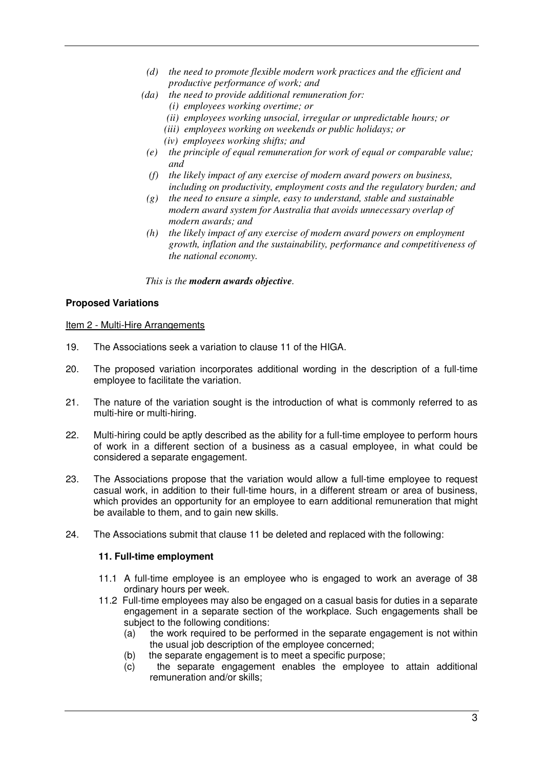- *(d) the need to promote flexible modern work practices and the efficient and productive performance of work; and*
- *(da) the need to provide additional remuneration for:* 
	- *(i) employees working overtime; or*
	- *(ii) employees working unsocial, irregular or unpredictable hours; or*
	- *(iii) employees working on weekends or public holidays; or*
	- *(iv) employees working shifts; and*
	- *(e) the principle of equal remuneration for work of equal or comparable value; and*
	- *(f) the likely impact of any exercise of modern award powers on business, including on productivity, employment costs and the regulatory burden; and*
	- *(g) the need to ensure a simple, easy to understand, stable and sustainable modern award system for Australia that avoids unnecessary overlap of modern awards; and*
- *(h) the likely impact of any exercise of modern award powers on employment growth, inflation and the sustainability, performance and competitiveness of the national economy.*

*This is the modern awards objective.* 

# **Proposed Variations**

Item 2 - Multi-Hire Arrangements

- 19. The Associations seek a variation to clause 11 of the HIGA.
- 20. The proposed variation incorporates additional wording in the description of a full-time employee to facilitate the variation.
- 21. The nature of the variation sought is the introduction of what is commonly referred to as multi-hire or multi-hiring.
- 22. Multi-hiring could be aptly described as the ability for a full-time employee to perform hours of work in a different section of a business as a casual employee, in what could be considered a separate engagement.
- 23. The Associations propose that the variation would allow a full-time employee to request casual work, in addition to their full-time hours, in a different stream or area of business, which provides an opportunity for an employee to earn additional remuneration that might be available to them, and to gain new skills.
- 24. The Associations submit that clause 11 be deleted and replaced with the following:

# **11. Full-time employment**

- 11.1 A full-time employee is an employee who is engaged to work an average of 38 ordinary hours per week.
- 11.2 Full-time employees may also be engaged on a casual basis for duties in a separate engagement in a separate section of the workplace. Such engagements shall be subject to the following conditions:
	- (a) the work required to be performed in the separate engagement is not within the usual job description of the employee concerned;
	- (b) the separate engagement is to meet a specific purpose;
	- (c) the separate engagement enables the employee to attain additional remuneration and/or skills;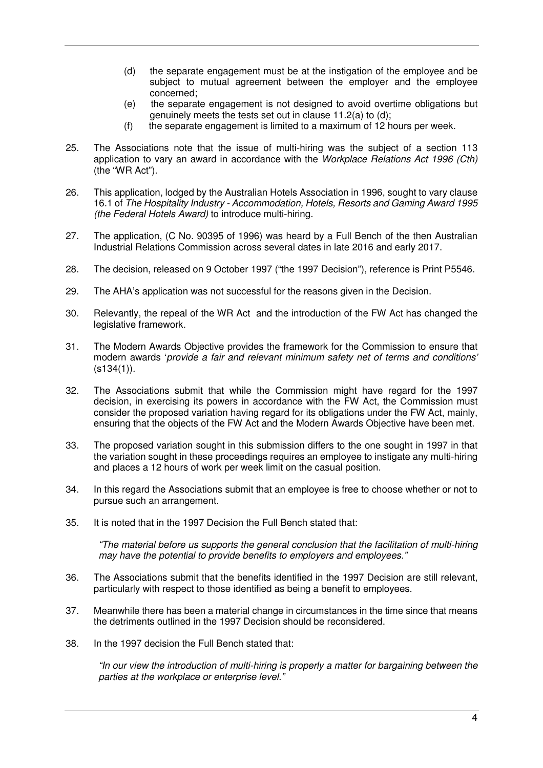- (d) the separate engagement must be at the instigation of the employee and be subject to mutual agreement between the employer and the employee concerned;
- (e) the separate engagement is not designed to avoid overtime obligations but genuinely meets the tests set out in clause 11.2(a) to (d);
- $(f)$  the separate engagement is limited to a maximum of 12 hours per week.
- 25. The Associations note that the issue of multi-hiring was the subject of a section 113 application to vary an award in accordance with the *Workplace Relations Act 1996 (Cth)*  (the "WR Act")*.*
- 26. This application, lodged by the Australian Hotels Association in 1996, sought to vary clause 16.1 of *The Hospitality Industry - Accommodation, Hotels, Resorts and Gaming Award 1995 (the Federal Hotels Award)* to introduce multi-hiring.
- 27. The application, (C No. 90395 of 1996) was heard by a Full Bench of the then Australian Industrial Relations Commission across several dates in late 2016 and early 2017.
- 28. The decision, released on 9 October 1997 ("the 1997 Decision"), reference is Print P5546.
- 29. The AHA's application was not successful for the reasons given in the Decision.
- 30. Relevantly, the repeal of the WR Act and the introduction of the FW Act has changed the legislative framework.
- 31. The Modern Awards Objective provides the framework for the Commission to ensure that modern awards '*provide a fair and relevant minimum safety net of terms and conditions'*  (s134(1))*.*
- 32. The Associations submit that while the Commission might have regard for the 1997 decision, in exercising its powers in accordance with the FW Act, the Commission must consider the proposed variation having regard for its obligations under the FW Act, mainly, ensuring that the objects of the FW Act and the Modern Awards Objective have been met.
- 33. The proposed variation sought in this submission differs to the one sought in 1997 in that the variation sought in these proceedings requires an employee to instigate any multi-hiring and places a 12 hours of work per week limit on the casual position.
- 34. In this regard the Associations submit that an employee is free to choose whether or not to pursue such an arrangement.
- 35. It is noted that in the 1997 Decision the Full Bench stated that:

*"The material before us supports the general conclusion that the facilitation of multi-hiring may have the potential to provide benefits to employers and employees."* 

- 36. The Associations submit that the benefits identified in the 1997 Decision are still relevant, particularly with respect to those identified as being a benefit to employees.
- 37. Meanwhile there has been a material change in circumstances in the time since that means the detriments outlined in the 1997 Decision should be reconsidered.
- 38. In the 1997 decision the Full Bench stated that:

*"In our view the introduction of multi-hiring is properly a matter for bargaining between the parties at the workplace or enterprise level."*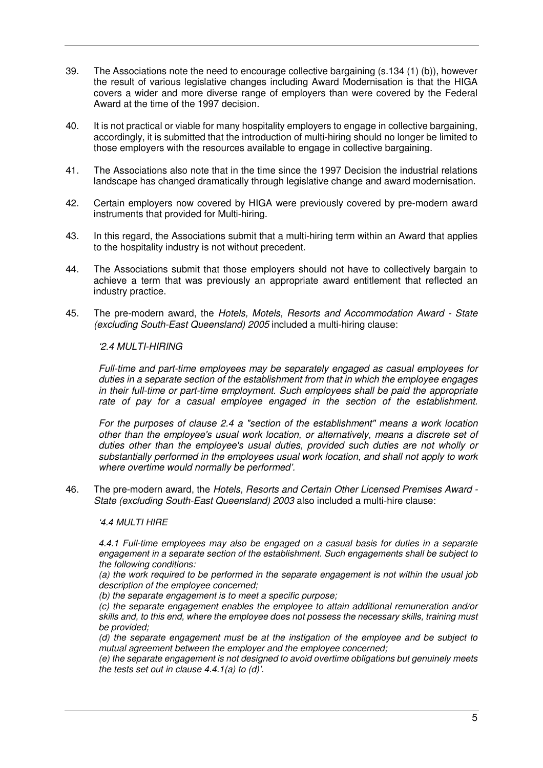- 39. The Associations note the need to encourage collective bargaining (s.134 (1) (b)), however the result of various legislative changes including Award Modernisation is that the HIGA covers a wider and more diverse range of employers than were covered by the Federal Award at the time of the 1997 decision.
- 40. It is not practical or viable for many hospitality employers to engage in collective bargaining, accordingly, it is submitted that the introduction of multi-hiring should no longer be limited to those employers with the resources available to engage in collective bargaining.
- 41. The Associations also note that in the time since the 1997 Decision the industrial relations landscape has changed dramatically through legislative change and award modernisation.
- 42. Certain employers now covered by HIGA were previously covered by pre-modern award instruments that provided for Multi-hiring.
- 43. In this regard, the Associations submit that a multi-hiring term within an Award that applies to the hospitality industry is not without precedent.
- 44. The Associations submit that those employers should not have to collectively bargain to achieve a term that was previously an appropriate award entitlement that reflected an industry practice.
- 45. The pre-modern award, the *Hotels, Motels, Resorts and Accommodation Award State (excluding South-East Queensland) 2005* included a multi-hiring clause:

## *'2.4 MULTI-HIRING*

*Full-time and part-time employees may be separately engaged as casual employees for duties in a separate section of the establishment from that in which the employee engages in their full-time or part-time employment. Such employees shall be paid the appropriate*  rate of pay for a casual employee engaged in the section of the establishment.

*For the purposes of clause 2.4 a "section of the establishment" means a work location other than the employee's usual work location, or alternatively, means a discrete set of duties other than the employee's usual duties, provided such duties are not wholly or substantially performed in the employees usual work location, and shall not apply to work where overtime would normally be performed'.* 

46. The pre-modern award, the *Hotels, Resorts and Certain Other Licensed Premises Award - State (excluding South-East Queensland) 2003* also included a multi-hire clause:

## *'4.4 MULTI HIRE*

*4.4.1 Full-time employees may also be engaged on a casual basis for duties in a separate engagement in a separate section of the establishment. Such engagements shall be subject to the following conditions:* 

*(a) the work required to be performed in the separate engagement is not within the usual job description of the employee concerned;* 

*(b) the separate engagement is to meet a specific purpose;* 

*(c) the separate engagement enables the employee to attain additional remuneration and/or skills and, to this end, where the employee does not possess the necessary skills, training must be provided;* 

*(d) the separate engagement must be at the instigation of the employee and be subject to mutual agreement between the employer and the employee concerned;* 

*(e) the separate engagement is not designed to avoid overtime obligations but genuinely meets the tests set out in clause 4.4.1(a) to (d)'.*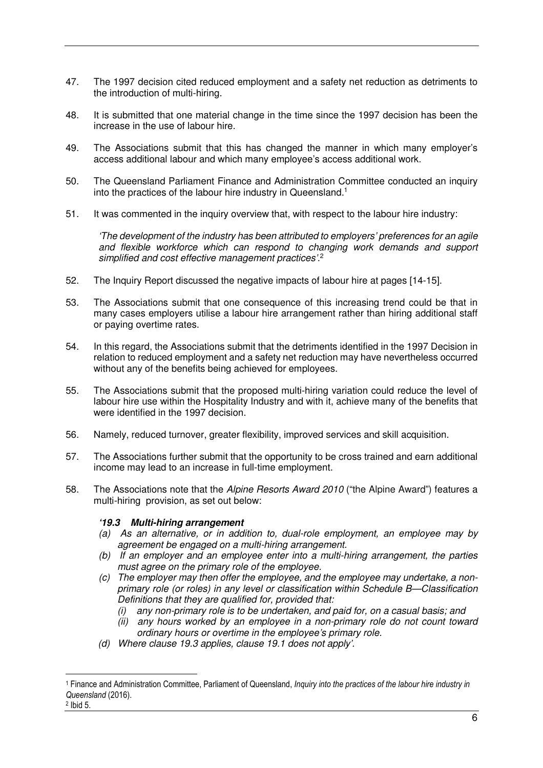- 47. The 1997 decision cited reduced employment and a safety net reduction as detriments to the introduction of multi-hiring.
- 48. It is submitted that one material change in the time since the 1997 decision has been the increase in the use of labour hire.
- 49. The Associations submit that this has changed the manner in which many employer's access additional labour and which many employee's access additional work.
- 50. The Queensland Parliament Finance and Administration Committee conducted an inquiry into the practices of the labour hire industry in Queensland.<sup>1</sup>
- 51. It was commented in the inquiry overview that, with respect to the labour hire industry:

*'The development of the industry has been attributed to employers' preferences for an agile and flexible workforce which can respond to changing work demands and support simplified and cost effective management practices'.* 2

- 52. The Inquiry Report discussed the negative impacts of labour hire at pages [14-15].
- 53. The Associations submit that one consequence of this increasing trend could be that in many cases employers utilise a labour hire arrangement rather than hiring additional staff or paying overtime rates.
- 54. In this regard, the Associations submit that the detriments identified in the 1997 Decision in relation to reduced employment and a safety net reduction may have nevertheless occurred without any of the benefits being achieved for employees.
- 55. The Associations submit that the proposed multi-hiring variation could reduce the level of labour hire use within the Hospitality Industry and with it, achieve many of the benefits that were identified in the 1997 decision.
- 56. Namely, reduced turnover, greater flexibility, improved services and skill acquisition.
- 57. The Associations further submit that the opportunity to be cross trained and earn additional income may lead to an increase in full-time employment.
- 58. The Associations note that the *Alpine Resorts Award 2010* ("the Alpine Award") features a multi-hiring provision, as set out below:

# **'19.3 Multi-hiring arrangement**

- *(a) As an alternative, or in addition to, dual-role employment, an employee may by agreement be engaged on a multi-hiring arrangement.*
- *(b) If an employer and an employee enter into a multi-hiring arrangement, the parties must agree on the primary role of the employee.*
- *(c) The employer may then offer the employee, and the employee may undertake, a nonprimary role (or roles) in any level or classification within Schedule B—Classification Definitions that they are qualified for, provided that:* 
	- *(i) any non-primary role is to be undertaken, and paid for, on a casual basis; and*
	- *(ii) any hours worked by an employee in a non-primary role do not count toward ordinary hours or overtime in the employee's primary role.*
- *(d) Where clause 19.3 applies, clause 19.1 does not apply'.*

2 Ibid 5.

l

<sup>1</sup> Finance and Administration Committee, Parliament of Queensland, *Inquiry into the practices of the labour hire industry in Queensland* (2016).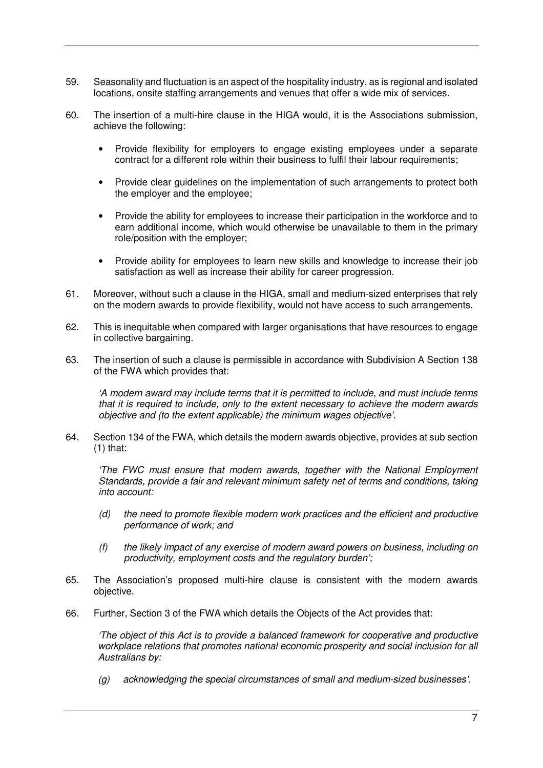- 59. Seasonality and fluctuation is an aspect of the hospitality industry, as is regional and isolated locations, onsite staffing arrangements and venues that offer a wide mix of services.
- 60. The insertion of a multi-hire clause in the HIGA would, it is the Associations submission, achieve the following:
	- Provide flexibility for employers to engage existing employees under a separate contract for a different role within their business to fulfil their labour requirements;
	- Provide clear guidelines on the implementation of such arrangements to protect both the employer and the employee;
	- Provide the ability for employees to increase their participation in the workforce and to earn additional income, which would otherwise be unavailable to them in the primary role/position with the employer;
	- Provide ability for employees to learn new skills and knowledge to increase their job satisfaction as well as increase their ability for career progression.
- 61. Moreover, without such a clause in the HIGA, small and medium-sized enterprises that rely on the modern awards to provide flexibility, would not have access to such arrangements.
- 62. This is inequitable when compared with larger organisations that have resources to engage in collective bargaining.
- 63. The insertion of such a clause is permissible in accordance with Subdivision A Section 138 of the FWA which provides that:

*'A modern award may include terms that it is permitted to include, and must include terms that it is required to include, only to the extent necessary to achieve the modern awards objective and (to the extent applicable) the minimum wages objective'.* 

64. Section 134 of the FWA, which details the modern awards objective, provides at sub section  $(1)$  that:

*'The FWC must ensure that modern awards, together with the National Employment Standards, provide a fair and relevant minimum safety net of terms and conditions, taking into account:* 

- *(d) the need to promote flexible modern work practices and the efficient and productive performance of work; and*
- *(f) the likely impact of any exercise of modern award powers on business, including on productivity, employment costs and the regulatory burden';*
- 65. The Association's proposed multi-hire clause is consistent with the modern awards objective.
- 66. Further, Section 3 of the FWA which details the Objects of the Act provides that:

*'The object of this Act is to provide a balanced framework for cooperative and productive workplace relations that promotes national economic prosperity and social inclusion for all Australians by:* 

*(g) acknowledging the special circumstances of small and medium-sized businesses'.*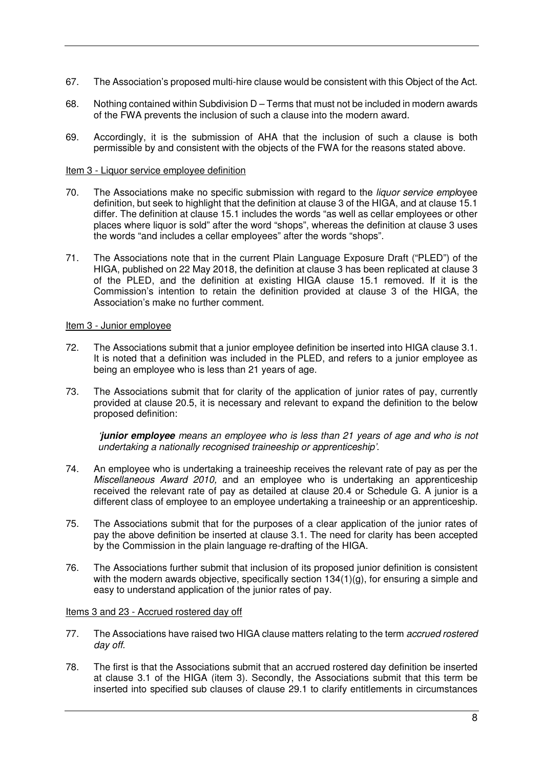- 67. The Association's proposed multi-hire clause would be consistent with this Object of the Act.
- 68. Nothing contained within Subdivision D Terms that must not be included in modern awards of the FWA prevents the inclusion of such a clause into the modern award.
- 69. Accordingly, it is the submission of AHA that the inclusion of such a clause is both permissible by and consistent with the objects of the FWA for the reasons stated above.

## Item 3 - Liquor service employee definition

- 70. The Associations make no specific submission with regard to the *liquor service empl*oyee definition, but seek to highlight that the definition at clause 3 of the HIGA, and at clause 15.1 differ. The definition at clause 15.1 includes the words "as well as cellar employees or other places where liquor is sold" after the word "shops", whereas the definition at clause 3 uses the words "and includes a cellar employees" after the words "shops".
- 71. The Associations note that in the current Plain Language Exposure Draft ("PLED") of the HIGA, published on 22 May 2018, the definition at clause 3 has been replicated at clause 3 of the PLED, and the definition at existing HIGA clause 15.1 removed. If it is the Commission's intention to retain the definition provided at clause 3 of the HIGA, the Association's make no further comment.

#### Item 3 - Junior employee

- 72. The Associations submit that a junior employee definition be inserted into HIGA clause 3.1. It is noted that a definition was included in the PLED, and refers to a junior employee as being an employee who is less than 21 years of age.
- 73. The Associations submit that for clarity of the application of junior rates of pay, currently provided at clause 20.5, it is necessary and relevant to expand the definition to the below proposed definition:

*'***junior employee** *means an employee who is less than 21 years of age and who is not undertaking a nationally recognised traineeship or apprenticeship'.* 

- 74. An employee who is undertaking a traineeship receives the relevant rate of pay as per the *Miscellaneous Award 2010,* and an employee who is undertaking an apprenticeship received the relevant rate of pay as detailed at clause 20.4 or Schedule G. A junior is a different class of employee to an employee undertaking a traineeship or an apprenticeship.
- 75. The Associations submit that for the purposes of a clear application of the junior rates of pay the above definition be inserted at clause 3.1. The need for clarity has been accepted by the Commission in the plain language re-drafting of the HIGA.
- 76. The Associations further submit that inclusion of its proposed junior definition is consistent with the modern awards objective, specifically section  $134(1)(q)$ , for ensuring a simple and easy to understand application of the junior rates of pay.

## Items 3 and 23 - Accrued rostered day off

- 77. The Associations have raised two HIGA clause matters relating to the term *accrued rostered day off.*
- 78. The first is that the Associations submit that an accrued rostered day definition be inserted at clause 3.1 of the HIGA (item 3). Secondly, the Associations submit that this term be inserted into specified sub clauses of clause 29.1 to clarify entitlements in circumstances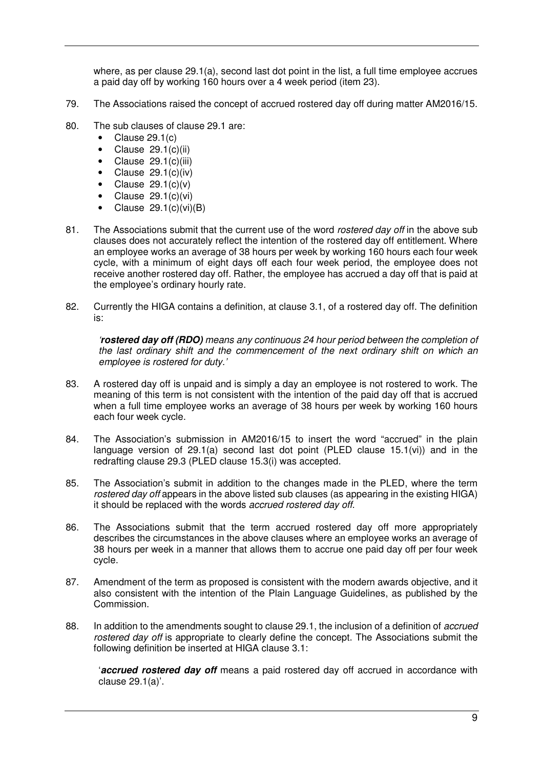where, as per clause 29.1(a), second last dot point in the list, a full time employee accrues a paid day off by working 160 hours over a 4 week period (item 23).

- 79. The Associations raised the concept of accrued rostered day off during matter AM2016/15.
- 80. The sub clauses of clause 29.1 are:
	- Clause 29.1(c)
	- $\bullet$  Clause 29.1(c)(ii)
	- Clause 29.1(c)(iii)
	- $\bullet$  Clause 29.1(c)(iv)
	- Clause  $29.1(c)(v)$
	- Clause 29.1(c)(vi)
	- Clause  $29.1(c)(vi)(B)$
- 81. The Associations submit that the current use of the word *rostered day off* in the above sub clauses does not accurately reflect the intention of the rostered day off entitlement. Where an employee works an average of 38 hours per week by working 160 hours each four week cycle, with a minimum of eight days off each four week period, the employee does not receive another rostered day off. Rather, the employee has accrued a day off that is paid at the employee's ordinary hourly rate.
- 82. Currently the HIGA contains a definition, at clause 3.1, of a rostered day off. The definition is:

*'***rostered day off (RDO)** *means any continuous 24 hour period between the completion of the last ordinary shift and the commencement of the next ordinary shift on which an employee is rostered for duty.'* 

- 83. A rostered day off is unpaid and is simply a day an employee is not rostered to work. The meaning of this term is not consistent with the intention of the paid day off that is accrued when a full time employee works an average of 38 hours per week by working 160 hours each four week cycle.
- 84. The Association's submission in AM2016/15 to insert the word "accrued" in the plain language version of 29.1(a) second last dot point (PLED clause 15.1(vi)) and in the redrafting clause 29.3 (PLED clause 15.3(i) was accepted.
- 85. The Association's submit in addition to the changes made in the PLED, where the term *rostered day off* appears in the above listed sub clauses (as appearing in the existing HIGA) it should be replaced with the words *accrued rostered day off*.
- 86. The Associations submit that the term accrued rostered day off more appropriately describes the circumstances in the above clauses where an employee works an average of 38 hours per week in a manner that allows them to accrue one paid day off per four week cycle.
- 87. Amendment of the term as proposed is consistent with the modern awards objective, and it also consistent with the intention of the Plain Language Guidelines, as published by the Commission.
- 88. In addition to the amendments sought to clause 29.1, the inclusion of a definition of *accrued rostered day off* is appropriate to clearly define the concept. The Associations submit the following definition be inserted at HIGA clause 3.1:

'**accrued rostered day off** means a paid rostered day off accrued in accordance with clause 29.1(a)'.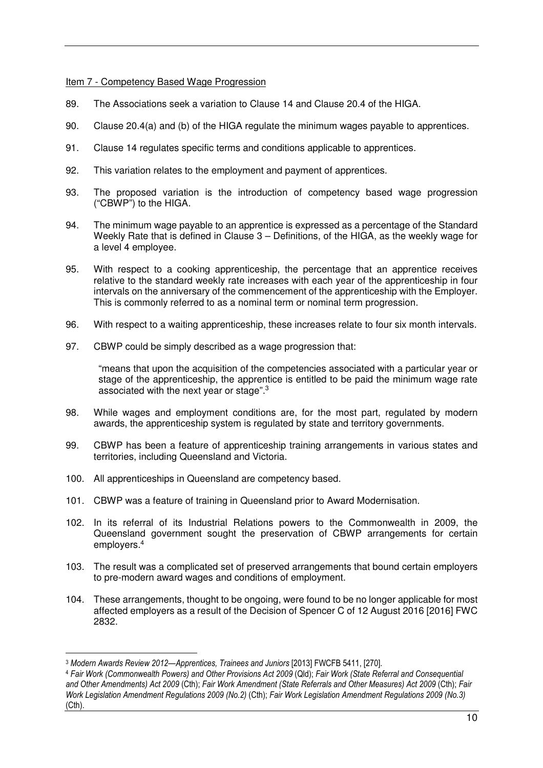## Item 7 - Competency Based Wage Progression

- 89. The Associations seek a variation to Clause 14 and Clause 20.4 of the HIGA.
- 90. Clause 20.4(a) and (b) of the HIGA regulate the minimum wages payable to apprentices.
- 91. Clause 14 regulates specific terms and conditions applicable to apprentices.
- 92. This variation relates to the employment and payment of apprentices.
- 93. The proposed variation is the introduction of competency based wage progression ("CBWP") to the HIGA.
- 94. The minimum wage payable to an apprentice is expressed as a percentage of the Standard Weekly Rate that is defined in Clause 3 – Definitions, of the HIGA, as the weekly wage for a level 4 employee.
- 95. With respect to a cooking apprenticeship, the percentage that an apprentice receives relative to the standard weekly rate increases with each year of the apprenticeship in four intervals on the anniversary of the commencement of the apprenticeship with the Employer. This is commonly referred to as a nominal term or nominal term progression.
- 96. With respect to a waiting apprenticeship, these increases relate to four six month intervals.
- 97. CBWP could be simply described as a wage progression that:

"means that upon the acquisition of the competencies associated with a particular year or stage of the apprenticeship, the apprentice is entitled to be paid the minimum wage rate associated with the next year or stage".<sup>3</sup>

- 98. While wages and employment conditions are, for the most part, regulated by modern awards, the apprenticeship system is regulated by state and territory governments.
- 99. CBWP has been a feature of apprenticeship training arrangements in various states and territories, including Queensland and Victoria.
- 100. All apprenticeships in Queensland are competency based.
- 101. CBWP was a feature of training in Queensland prior to Award Modernisation.
- 102. In its referral of its Industrial Relations powers to the Commonwealth in 2009, the Queensland government sought the preservation of CBWP arrangements for certain employers.<sup>4</sup>
- 103. The result was a complicated set of preserved arrangements that bound certain employers to pre-modern award wages and conditions of employment.
- 104. These arrangements, thought to be ongoing, were found to be no longer applicable for most affected employers as a result of the Decision of Spencer C of 12 August 2016 [2016] FWC 2832.

 $\overline{a}$ 

<sup>3</sup> *Modern Awards Review 2012—Apprentices, Trainees and Juniors* [2013] FWCFB 5411, [270].

<sup>4</sup> *Fair Work (Commonwealth Powers) and Other Provisions Act 2009* (Qld); *Fair Work (State Referral and Consequential and Other Amendments) Act 2009* (Cth); *Fair Work Amendment (State Referrals and Other Measures) Act 2009* (Cth); *Fair Work Legislation Amendment Regulations 2009 (No.2)* (Cth); *Fair Work Legislation Amendment Regulations 2009 (No.3)*  (Cth).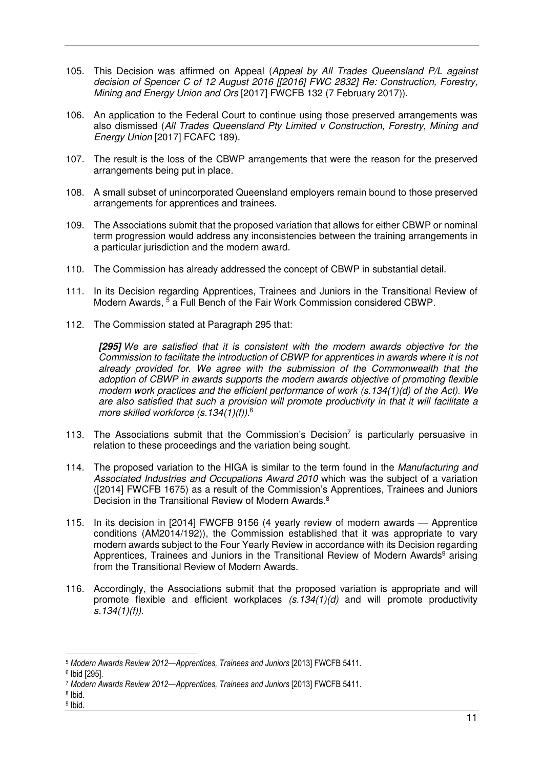- 105. This Decision was affirmed on Appeal (*Appeal by All Trades Queensland P/L against decision of Spencer C of 12 August 2016 [[2016] FWC 2832] Re: Construction, Forestry, Mining and Energy Union and Ors* [2017] FWCFB 132 (7 February 2017)).
- 106. An application to the Federal Court to continue using those preserved arrangements was also dismissed (*All Trades Queensland Pty Limited v Construction, Forestry, Mining and Energy Union* [2017] FCAFC 189).
- 107. The result is the loss of the CBWP arrangements that were the reason for the preserved arrangements being put in place.
- 108. A small subset of unincorporated Queensland employers remain bound to those preserved arrangements for apprentices and trainees.
- 109. The Associations submit that the proposed variation that allows for either CBWP or nominal term progression would address any inconsistencies between the training arrangements in a particular jurisdiction and the modern award.
- 110. The Commission has already addressed the concept of CBWP in substantial detail.
- 111. In its Decision regarding Apprentices, Trainees and Juniors in the Transitional Review of Modern Awards, <sup>5</sup> a Full Bench of the Fair Work Commission considered CBWP.
- 112. The Commission stated at Paragraph 295 that:

**[295]** *We are satisfied that it is consistent with the modern awards objective for the Commission to facilitate the introduction of CBWP for apprentices in awards where it is not already provided for. We agree with the submission of the Commonwealth that the adoption of CBWP in awards supports the modern awards objective of promoting flexible modern work practices and the efficient performance of work (s.134(1)(d) of the Act). We are also satisfied that such a provision will promote productivity in that it will facilitate a more skilled workforce (s.134(1)(f)).*<sup>6</sup>

- 113. The Associations submit that the Commission's Decision<sup>7</sup> is particularly persuasive in relation to these proceedings and the variation being sought.
- 114. The proposed variation to the HIGA is similar to the term found in the *Manufacturing and Associated Industries and Occupations Award 2010* which was the subject of a variation ([2014] FWCFB 1675) as a result of the Commission's Apprentices, Trainees and Juniors Decision in the Transitional Review of Modern Awards.<sup>8</sup>
- 115. In its decision in [2014] FWCFB 9156 (4 yearly review of modern awards Apprentice conditions (AM2014/192)), the Commission established that it was appropriate to vary modern awards subject to the Four Yearly Review in accordance with its Decision regarding Apprentices, Trainees and Juniors in the Transitional Review of Modern Awards<sup>9</sup> arising from the Transitional Review of Modern Awards.
- 116. Accordingly, the Associations submit that the proposed variation is appropriate and will promote flexible and efficient workplaces *(s.134(1)(d)* and will promote productivity *s.134(1)(f))*.

 $\overline{a}$ 

<sup>5</sup> *Modern Awards Review 2012—Apprentices, Trainees and Juniors* [2013] FWCFB 5411.

<sup>6</sup> Ibid [295].

<sup>7</sup> *Modern Awards Review 2012—Apprentices, Trainees and Juniors* [2013] FWCFB 5411.

<sup>8</sup> Ibid.

<sup>&</sup>lt;sup>9</sup> Ibid.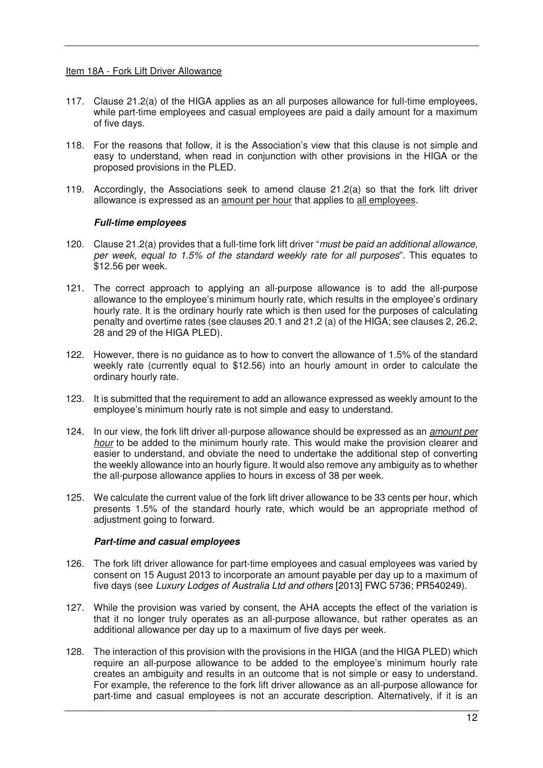#### Item 18A - Fork Lift Driver Allowance

- 117. Clause 21.2(a) of the HIGA applies as an all purposes allowance for full-time employees, while part-time employees and casual employees are paid a daily amount for a maximum of five days.
- 118. For the reasons that follow, it is the Association's view that this clause is not simple and easy to understand, when read in conjunction with other provisions in the HIGA or the proposed provisions in the PLED.
- 119. Accordingly, the Associations seek to amend clause 21.2(a) so that the fork lift driver allowance is expressed as an amount per hour that applies to all employees.

## **Full-time employees**

- 120. Clause 21.2(a) provides that a full-time fork lift driver "*must be paid an additional allowance, per week, equal to 1.5% of the standard weekly rate for all purposes*". This equates to \$12.56 per week.
- 121. The correct approach to applying an all-purpose allowance is to add the all-purpose allowance to the employee's minimum hourly rate, which results in the employee's ordinary hourly rate. It is the ordinary hourly rate which is then used for the purposes of calculating penalty and overtime rates (see clauses 20.1 and 21.2 (a) of the HIGA; see clauses 2, 26.2, 28 and 29 of the HIGA PLED).
- 122. However, there is no guidance as to how to convert the allowance of 1.5% of the standard weekly rate (currently equal to \$12.56) into an hourly amount in order to calculate the ordinary hourly rate.
- 123. It is submitted that the requirement to add an allowance expressed as weekly amount to the employee's minimum hourly rate is not simple and easy to understand.
- 124. In our view, the fork lift driver all-purpose allowance should be expressed as an *amount per hour* to be added to the minimum hourly rate. This would make the provision clearer and easier to understand, and obviate the need to undertake the additional step of converting the weekly allowance into an hourly figure. It would also remove any ambiguity as to whether the all-purpose allowance applies to hours in excess of 38 per week.
- 125. We calculate the current value of the fork lift driver allowance to be 33 cents per hour, which presents 1.5% of the standard hourly rate, which would be an appropriate method of adjustment going to forward.

## **Part-time and casual employees**

- 126. The fork lift driver allowance for part-time employees and casual employees was varied by consent on 15 August 2013 to incorporate an amount payable per day up to a maximum of five days (see *Luxury Lodges of Australia Ltd and others* [2013] FWC 5736; PR540249).
- 127. While the provision was varied by consent, the AHA accepts the effect of the variation is that it no longer truly operates as an all-purpose allowance, but rather operates as an additional allowance per day up to a maximum of five days per week.
- 128. The interaction of this provision with the provisions in the HIGA (and the HIGA PLED) which require an all-purpose allowance to be added to the employee's minimum hourly rate creates an ambiguity and results in an outcome that is not simple or easy to understand. For example, the reference to the fork lift driver allowance as an all-purpose allowance for part-time and casual employees is not an accurate description. Alternatively, if it is an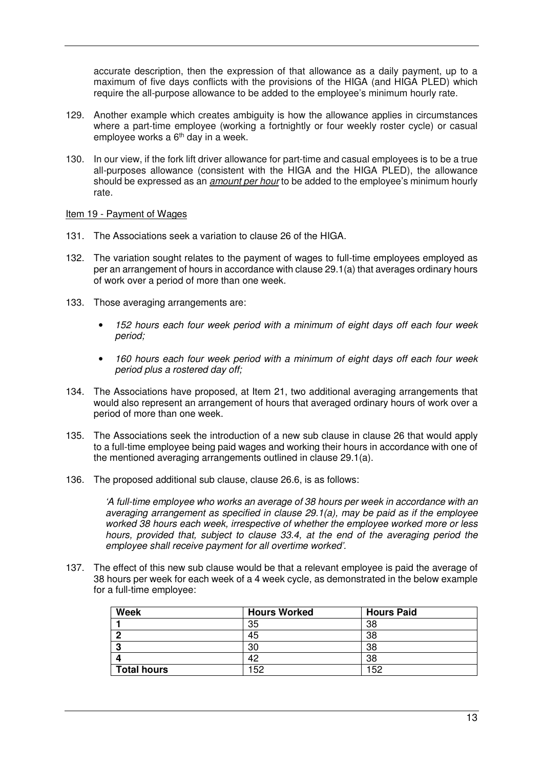accurate description, then the expression of that allowance as a daily payment, up to a maximum of five days conflicts with the provisions of the HIGA (and HIGA PLED) which require the all-purpose allowance to be added to the employee's minimum hourly rate.

- 129. Another example which creates ambiguity is how the allowance applies in circumstances where a part-time employee (working a fortnightly or four weekly roster cycle) or casual employee works a 6th day in a week.
- 130. In our view, if the fork lift driver allowance for part-time and casual employees is to be a true all-purposes allowance (consistent with the HIGA and the HIGA PLED), the allowance should be expressed as an *amount per hour* to be added to the employee's minimum hourly rate.

## Item 19 - Payment of Wages

- 131. The Associations seek a variation to clause 26 of the HIGA.
- 132. The variation sought relates to the payment of wages to full-time employees employed as per an arrangement of hours in accordance with clause 29.1(a) that averages ordinary hours of work over a period of more than one week.
- 133. Those averaging arrangements are:
	- *152 hours each four week period with a minimum of eight days off each four week period;*
	- *160 hours each four week period with a minimum of eight days off each four week period plus a rostered day off;*
- 134. The Associations have proposed, at Item 21, two additional averaging arrangements that would also represent an arrangement of hours that averaged ordinary hours of work over a period of more than one week.
- 135. The Associations seek the introduction of a new sub clause in clause 26 that would apply to a full-time employee being paid wages and working their hours in accordance with one of the mentioned averaging arrangements outlined in clause 29.1(a).
- 136. The proposed additional sub clause, clause 26.6, is as follows:

*'A full-time employee who works an average of 38 hours per week in accordance with an averaging arrangement as specified in clause 29.1(a), may be paid as if the employee worked 38 hours each week, irrespective of whether the employee worked more or less hours, provided that, subject to clause 33.4, at the end of the averaging period the employee shall receive payment for all overtime worked'.* 

137. The effect of this new sub clause would be that a relevant employee is paid the average of 38 hours per week for each week of a 4 week cycle, as demonstrated in the below example for a full-time employee:

| <b>Week</b>        | <b>Hours Worked</b> | <b>Hours Paid</b> |
|--------------------|---------------------|-------------------|
|                    | 35                  | 38                |
| ◠                  | 45                  | 38                |
| c                  | 30                  | 38                |
|                    | 42                  | 38                |
| <b>Total hours</b> | 152                 | 152               |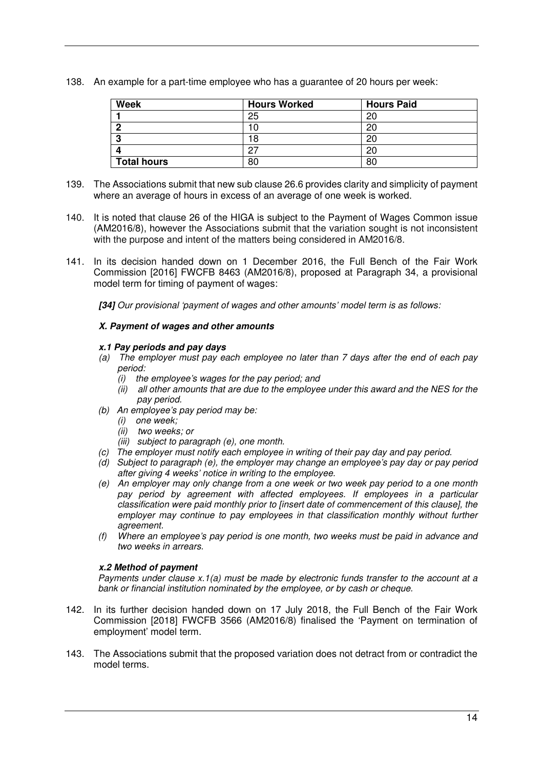138. An example for a part-time employee who has a guarantee of 20 hours per week:

| <b>Week</b>        | <b>Hours Worked</b> | <b>Hours Paid</b> |
|--------------------|---------------------|-------------------|
|                    | 25                  | 20                |
| n                  |                     | 20                |
|                    | 18                  | 20                |
|                    | ົ                   | 20                |
| <b>Total hours</b> | 80                  | 80                |

- 139. The Associations submit that new sub clause 26.6 provides clarity and simplicity of payment where an average of hours in excess of an average of one week is worked.
- 140. It is noted that clause 26 of the HIGA is subject to the Payment of Wages Common issue (AM2016/8), however the Associations submit that the variation sought is not inconsistent with the purpose and intent of the matters being considered in AM2016/8.
- 141. In its decision handed down on 1 December 2016, the Full Bench of the Fair Work Commission [2016] FWCFB 8463 (AM2016/8), proposed at Paragraph 34, a provisional model term for timing of payment of wages:

**[34]** *Our provisional 'payment of wages and other amounts' model term is as follows:* 

# **X. Payment of wages and other amounts**

# **x.1 Pay periods and pay days**

- *(a) The employer must pay each employee no later than 7 days after the end of each pay period:* 
	- *(i) the employee's wages for the pay period; and*
	- *(ii) all other amounts that are due to the employee under this award and the NES for the pay period.*
- *(b) An employee's pay period may be:* 
	- *(i) one week;*
	- *(ii) two weeks; or*
	- *(iii) subject to paragraph (e), one month.*
- *(c) The employer must notify each employee in writing of their pay day and pay period.*
- *(d) Subject to paragraph (e), the employer may change an employee's pay day or pay period after giving 4 weeks' notice in writing to the employee.*
- *(e) An employer may only change from a one week or two week pay period to a one month*  pay period by agreement with affected employees. If employees in a particular *classification were paid monthly prior to [insert date of commencement of this clause], the employer may continue to pay employees in that classification monthly without further agreement.*
- *(f) Where an employee's pay period is one month, two weeks must be paid in advance and two weeks in arrears.*

# **x.2 Method of payment**

*Payments under clause x.1(a) must be made by electronic funds transfer to the account at a bank or financial institution nominated by the employee, or by cash or cheque.* 

- 142. In its further decision handed down on 17 July 2018, the Full Bench of the Fair Work Commission [2018] FWCFB 3566 (AM2016/8) finalised the 'Payment on termination of employment' model term.
- 143. The Associations submit that the proposed variation does not detract from or contradict the model terms.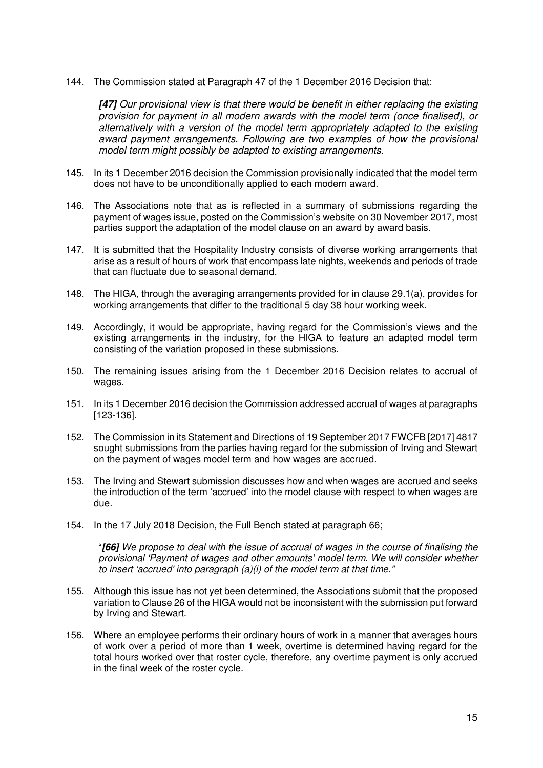144. The Commission stated at Paragraph 47 of the 1 December 2016 Decision that:

**[47]** *Our provisional view is that there would be benefit in either replacing the existing provision for payment in all modern awards with the model term (once finalised), or alternatively with a version of the model term appropriately adapted to the existing award payment arrangements. Following are two examples of how the provisional model term might possibly be adapted to existing arrangements.*

- 145. In its 1 December 2016 decision the Commission provisionally indicated that the model term does not have to be unconditionally applied to each modern award.
- 146. The Associations note that as is reflected in a summary of submissions regarding the payment of wages issue, posted on the Commission's website on 30 November 2017, most parties support the adaptation of the model clause on an award by award basis.
- 147. It is submitted that the Hospitality Industry consists of diverse working arrangements that arise as a result of hours of work that encompass late nights, weekends and periods of trade that can fluctuate due to seasonal demand.
- 148. The HIGA, through the averaging arrangements provided for in clause 29.1(a), provides for working arrangements that differ to the traditional 5 day 38 hour working week.
- 149. Accordingly, it would be appropriate, having regard for the Commission's views and the existing arrangements in the industry, for the HIGA to feature an adapted model term consisting of the variation proposed in these submissions.
- 150. The remaining issues arising from the 1 December 2016 Decision relates to accrual of wages.
- 151. In its 1 December 2016 decision the Commission addressed accrual of wages at paragraphs [123-136].
- 152. The Commission in its Statement and Directions of 19 September 2017 FWCFB [2017] 4817 sought submissions from the parties having regard for the submission of Irving and Stewart on the payment of wages model term and how wages are accrued.
- 153. The Irving and Stewart submission discusses how and when wages are accrued and seeks the introduction of the term 'accrued' into the model clause with respect to when wages are due.
- 154. In the 17 July 2018 Decision, the Full Bench stated at paragraph 66;

"**[66]** *We propose to deal with the issue of accrual of wages in the course of finalising the provisional 'Payment of wages and other amounts' model term. We will consider whether to insert 'accrued' into paragraph (a)(i) of the model term at that time."* 

- 155. Although this issue has not yet been determined, the Associations submit that the proposed variation to Clause 26 of the HIGA would not be inconsistent with the submission put forward by Irving and Stewart.
- 156. Where an employee performs their ordinary hours of work in a manner that averages hours of work over a period of more than 1 week, overtime is determined having regard for the total hours worked over that roster cycle, therefore, any overtime payment is only accrued in the final week of the roster cycle.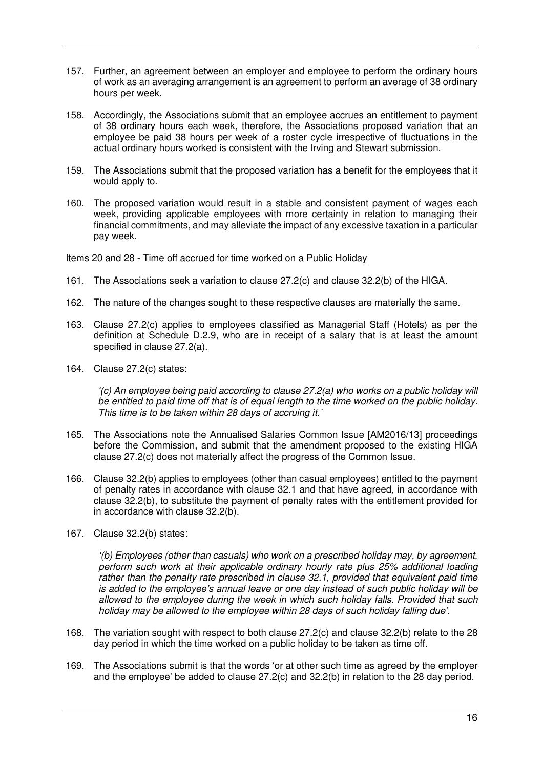- 157. Further, an agreement between an employer and employee to perform the ordinary hours of work as an averaging arrangement is an agreement to perform an average of 38 ordinary hours per week.
- 158. Accordingly, the Associations submit that an employee accrues an entitlement to payment of 38 ordinary hours each week, therefore, the Associations proposed variation that an employee be paid 38 hours per week of a roster cycle irrespective of fluctuations in the actual ordinary hours worked is consistent with the Irving and Stewart submission.
- 159. The Associations submit that the proposed variation has a benefit for the employees that it would apply to.
- 160. The proposed variation would result in a stable and consistent payment of wages each week, providing applicable employees with more certainty in relation to managing their financial commitments, and may alleviate the impact of any excessive taxation in a particular pay week.

Items 20 and 28 - Time off accrued for time worked on a Public Holiday

- 161. The Associations seek a variation to clause 27.2(c) and clause 32.2(b) of the HIGA.
- 162. The nature of the changes sought to these respective clauses are materially the same.
- 163. Clause 27.2(c) applies to employees classified as Managerial Staff (Hotels) as per the definition at Schedule D.2.9, who are in receipt of a salary that is at least the amount specified in clause 27.2(a).
- 164. Clause 27.2(c) states:

*'(c) An employee being paid according to clause 27.2(a) who works on a public holiday will be entitled to paid time off that is of equal length to the time worked on the public holiday. This time is to be taken within 28 days of accruing it.'* 

- 165. The Associations note the Annualised Salaries Common Issue [AM2016/13] proceedings before the Commission, and submit that the amendment proposed to the existing HIGA clause 27.2(c) does not materially affect the progress of the Common Issue.
- 166. Clause 32.2(b) applies to employees (other than casual employees) entitled to the payment of penalty rates in accordance with clause 32.1 and that have agreed, in accordance with clause 32.2(b), to substitute the payment of penalty rates with the entitlement provided for in accordance with clause 32.2(b).
- 167. Clause 32.2(b) states:

*'(b) Employees (other than casuals) who work on a prescribed holiday may, by agreement, perform such work at their applicable ordinary hourly rate plus 25% additional loading rather than the penalty rate prescribed in clause 32.1, provided that equivalent paid time is added to the employee's annual leave or one day instead of such public holiday will be allowed to the employee during the week in which such holiday falls. Provided that such holiday may be allowed to the employee within 28 days of such holiday falling due'.* 

- 168. The variation sought with respect to both clause 27.2(c) and clause 32.2(b) relate to the 28 day period in which the time worked on a public holiday to be taken as time off.
- 169. The Associations submit is that the words 'or at other such time as agreed by the employer and the employee' be added to clause 27.2(c) and 32.2(b) in relation to the 28 day period.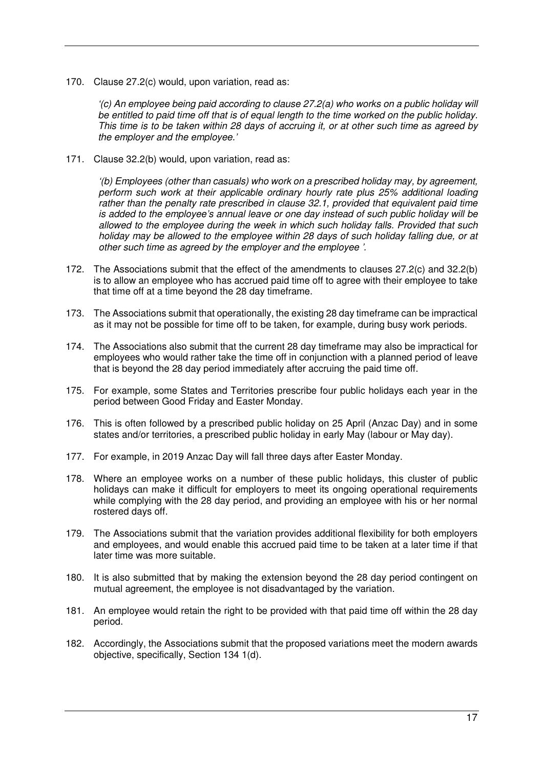170. Clause 27.2(c) would, upon variation, read as:

*'(c) An employee being paid according to clause 27.2(a) who works on a public holiday will be entitled to paid time off that is of equal length to the time worked on the public holiday. This time is to be taken within 28 days of accruing it, or at other such time as agreed by the employer and the employee.'* 

171. Clause 32.2(b) would, upon variation, read as:

*'(b) Employees (other than casuals) who work on a prescribed holiday may, by agreement, perform such work at their applicable ordinary hourly rate plus 25% additional loading rather than the penalty rate prescribed in clause 32.1, provided that equivalent paid time is added to the employee's annual leave or one day instead of such public holiday will be allowed to the employee during the week in which such holiday falls. Provided that such holiday may be allowed to the employee within 28 days of such holiday falling due, or at other such time as agreed by the employer and the employee '.* 

- 172. The Associations submit that the effect of the amendments to clauses 27.2(c) and 32.2(b) is to allow an employee who has accrued paid time off to agree with their employee to take that time off at a time beyond the 28 day timeframe.
- 173. The Associations submit that operationally, the existing 28 day timeframe can be impractical as it may not be possible for time off to be taken, for example, during busy work periods.
- 174. The Associations also submit that the current 28 day timeframe may also be impractical for employees who would rather take the time off in conjunction with a planned period of leave that is beyond the 28 day period immediately after accruing the paid time off.
- 175. For example, some States and Territories prescribe four public holidays each year in the period between Good Friday and Easter Monday.
- 176. This is often followed by a prescribed public holiday on 25 April (Anzac Day) and in some states and/or territories, a prescribed public holiday in early May (labour or May day).
- 177. For example, in 2019 Anzac Day will fall three days after Easter Monday.
- 178. Where an employee works on a number of these public holidays, this cluster of public holidays can make it difficult for employers to meet its ongoing operational requirements while complying with the 28 day period, and providing an employee with his or her normal rostered days off.
- 179. The Associations submit that the variation provides additional flexibility for both employers and employees, and would enable this accrued paid time to be taken at a later time if that later time was more suitable.
- 180. It is also submitted that by making the extension beyond the 28 day period contingent on mutual agreement, the employee is not disadvantaged by the variation.
- 181. An employee would retain the right to be provided with that paid time off within the 28 day period.
- 182. Accordingly, the Associations submit that the proposed variations meet the modern awards objective, specifically, Section 134 1(d).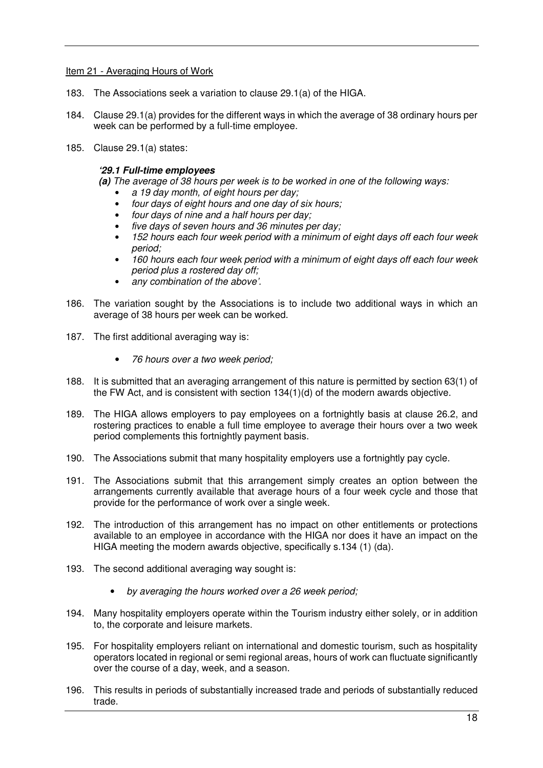## Item 21 - Averaging Hours of Work

- 183. The Associations seek a variation to clause 29.1(a) of the HIGA.
- 184. Clause 29.1(a) provides for the different ways in which the average of 38 ordinary hours per week can be performed by a full-time employee.
- 185. Clause 29.1(a) states:

## **'29.1 Full-time employees**

- **(a)** *The average of 38 hours per week is to be worked in one of the following ways:* 
	- *a 19 day month, of eight hours per day;*
	- *four days of eight hours and one day of six hours;*
	- *four days of nine and a half hours per day;*
	- *five days of seven hours and 36 minutes per day;*
	- *152 hours each four week period with a minimum of eight days off each four week period;*
	- *160 hours each four week period with a minimum of eight days off each four week period plus a rostered day off;*
	- *any combination of the above'.*
- 186. The variation sought by the Associations is to include two additional ways in which an average of 38 hours per week can be worked.
- 187. The first additional averaging way is:
	- *76 hours over a two week period;*
- 188. It is submitted that an averaging arrangement of this nature is permitted by section 63(1) of the FW Act, and is consistent with section 134(1)(d) of the modern awards objective.
- 189. The HIGA allows employers to pay employees on a fortnightly basis at clause 26.2, and rostering practices to enable a full time employee to average their hours over a two week period complements this fortnightly payment basis.
- 190. The Associations submit that many hospitality employers use a fortnightly pay cycle.
- 191. The Associations submit that this arrangement simply creates an option between the arrangements currently available that average hours of a four week cycle and those that provide for the performance of work over a single week.
- 192. The introduction of this arrangement has no impact on other entitlements or protections available to an employee in accordance with the HIGA nor does it have an impact on the HIGA meeting the modern awards objective, specifically s.134 (1) (da).
- 193. The second additional averaging way sought is:
	- *by averaging the hours worked over a 26 week period;*
- 194. Many hospitality employers operate within the Tourism industry either solely, or in addition to, the corporate and leisure markets.
- 195. For hospitality employers reliant on international and domestic tourism, such as hospitality operators located in regional or semi regional areas, hours of work can fluctuate significantly over the course of a day, week, and a season.
- 196. This results in periods of substantially increased trade and periods of substantially reduced trade.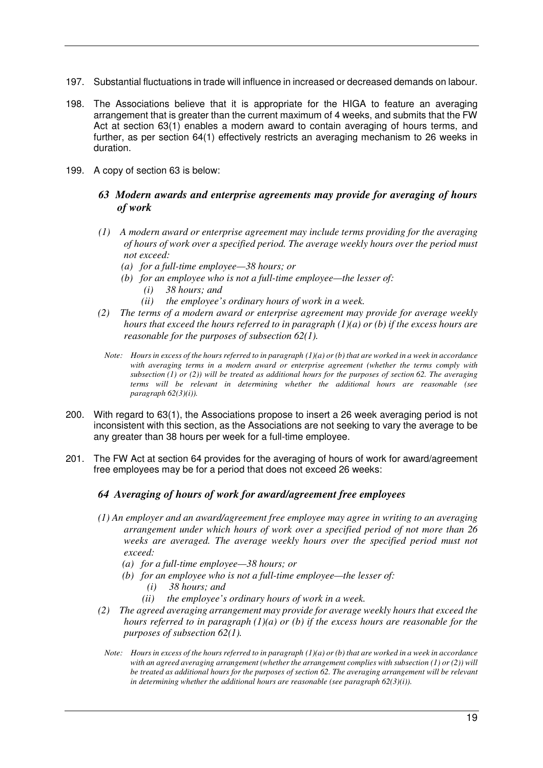- 197. Substantial fluctuations in trade will influence in increased or decreased demands on labour.
- 198. The Associations believe that it is appropriate for the HIGA to feature an averaging arrangement that is greater than the current maximum of 4 weeks, and submits that the FW Act at section 63(1) enables a modern award to contain averaging of hours terms, and further, as per section 64(1) effectively restricts an averaging mechanism to 26 weeks in duration.
- 199. A copy of section 63 is below:
	- *63 Modern awards and enterprise agreements may provide for averaging of hours of work*
	- *(1) A modern award or enterprise agreement may include terms providing for the averaging of hours of work over a specified period. The average weekly hours over the period must not exceed:* 
		- *(a) for a full-time employee—38 hours; or*
		- *(b) for an employee who is not a full-time employee—the lesser of:* 
			- *(i) 38 hours; and*
			- *(ii) the employee's ordinary hours of work in a week.*
	- *(2) The terms of a modern award or enterprise agreement may provide for average weekly hours that exceed the hours referred to in paragraph (1)(a) or (b) if the excess hours are reasonable for the purposes of subsection 62(1).* 
		- *Note: Hours in excess of the hours referred to in paragraph (1)(a) or (b) that are worked in a week in accordance with averaging terms in a modern award or enterprise agreement (whether the terms comply with subsection (1) or (2)) will be treated as additional hours for the purposes of section 62. The averaging terms will be relevant in determining whether the additional hours are reasonable (see paragraph 62(3)(i)).*
- 200. With regard to 63(1), the Associations propose to insert a 26 week averaging period is not inconsistent with this section, as the Associations are not seeking to vary the average to be any greater than 38 hours per week for a full-time employee.
- 201. The FW Act at section 64 provides for the averaging of hours of work for award/agreement free employees may be for a period that does not exceed 26 weeks:

# *64 Averaging of hours of work for award/agreement free employees*

- *(1) An employer and an award/agreement free employee may agree in writing to an averaging arrangement under which hours of work over a specified period of not more than 26 weeks are averaged. The average weekly hours over the specified period must not exceed:* 
	- *(a) for a full-time employee—38 hours; or*
	- *(b) for an employee who is not a full-time employee—the lesser of:* 
		- *(i) 38 hours; and*
		- *(ii) the employee's ordinary hours of work in a week.*
- *(2) The agreed averaging arrangement may provide for average weekly hours that exceed the hours referred to in paragraph (1)(a) or (b) if the excess hours are reasonable for the purposes of subsection 62(1).* 
	- *Note: Hours in excess of the hours referred to in paragraph (1)(a) or (b) that are worked in a week in accordance with an agreed averaging arrangement (whether the arrangement complies with subsection (1) or (2)) will be treated as additional hours for the purposes of section 62. The averaging arrangement will be relevant in determining whether the additional hours are reasonable (see paragraph 62(3)(i)).*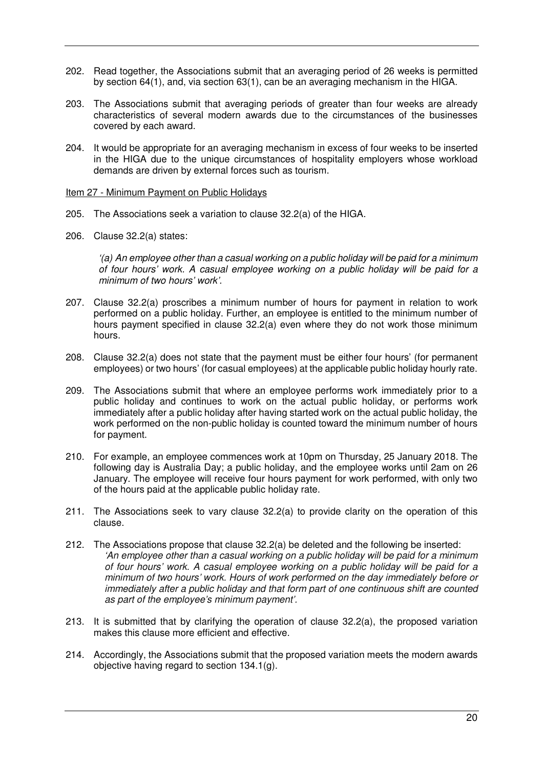- 202. Read together, the Associations submit that an averaging period of 26 weeks is permitted by section 64(1), and, via section 63(1), can be an averaging mechanism in the HIGA.
- 203. The Associations submit that averaging periods of greater than four weeks are already characteristics of several modern awards due to the circumstances of the businesses covered by each award.
- 204. It would be appropriate for an averaging mechanism in excess of four weeks to be inserted in the HIGA due to the unique circumstances of hospitality employers whose workload demands are driven by external forces such as tourism.

Item 27 - Minimum Payment on Public Holidays

- 205. The Associations seek a variation to clause 32.2(a) of the HIGA.
- 206. Clause 32.2(a) states:

*'(a) An employee other than a casual working on a public holiday will be paid for a minimum of four hours' work. A casual employee working on a public holiday will be paid for a minimum of two hours' work'.* 

- 207. Clause 32.2(a) proscribes a minimum number of hours for payment in relation to work performed on a public holiday. Further, an employee is entitled to the minimum number of hours payment specified in clause 32.2(a) even where they do not work those minimum hours.
- 208. Clause 32.2(a) does not state that the payment must be either four hours' (for permanent employees) or two hours' (for casual employees) at the applicable public holiday hourly rate.
- 209. The Associations submit that where an employee performs work immediately prior to a public holiday and continues to work on the actual public holiday, or performs work immediately after a public holiday after having started work on the actual public holiday, the work performed on the non-public holiday is counted toward the minimum number of hours for payment.
- 210. For example, an employee commences work at 10pm on Thursday, 25 January 2018. The following day is Australia Day; a public holiday, and the employee works until 2am on 26 January. The employee will receive four hours payment for work performed, with only two of the hours paid at the applicable public holiday rate.
- 211. The Associations seek to vary clause 32.2(a) to provide clarity on the operation of this clause.
- 212. The Associations propose that clause 32.2(a) be deleted and the following be inserted: *'An employee other than a casual working on a public holiday will be paid for a minimum of four hours' work. A casual employee working on a public holiday will be paid for a minimum of two hours' work. Hours of work performed on the day immediately before or immediately after a public holiday and that form part of one continuous shift are counted as part of the employee's minimum payment'.*
- 213. It is submitted that by clarifying the operation of clause 32.2(a), the proposed variation makes this clause more efficient and effective.
- 214. Accordingly, the Associations submit that the proposed variation meets the modern awards objective having regard to section 134.1(g).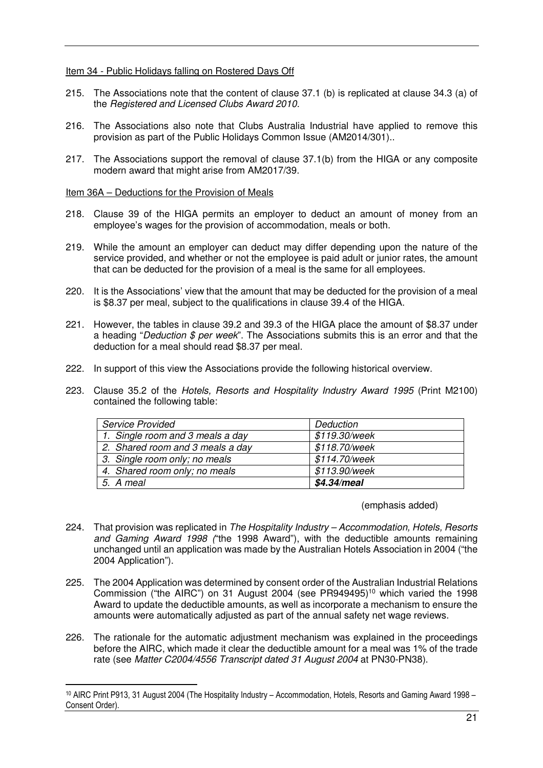Item 34 - Public Holidays falling on Rostered Days Off

- 215. The Associations note that the content of clause 37.1 (b) is replicated at clause 34.3 (a) of the *Registered and Licensed Clubs Award 2010.*
- 216. The Associations also note that Clubs Australia Industrial have applied to remove this provision as part of the Public Holidays Common Issue (AM2014/301)..
- 217. The Associations support the removal of clause 37.1(b) from the HIGA or any composite modern award that might arise from AM2017/39.

#### Item 36A – Deductions for the Provision of Meals

 $\overline{a}$ 

- 218. Clause 39 of the HIGA permits an employer to deduct an amount of money from an employee's wages for the provision of accommodation, meals or both.
- 219. While the amount an employer can deduct may differ depending upon the nature of the service provided, and whether or not the employee is paid adult or junior rates, the amount that can be deducted for the provision of a meal is the same for all employees.
- 220. It is the Associations' view that the amount that may be deducted for the provision of a meal is \$8.37 per meal, subject to the qualifications in clause 39.4 of the HIGA.
- 221. However, the tables in clause 39.2 and 39.3 of the HIGA place the amount of \$8.37 under a heading "*Deduction \$ per week*". The Associations submits this is an error and that the deduction for a meal should read \$8.37 per meal.
- 222. In support of this view the Associations provide the following historical overview.
- 223. Clause 35.2 of the *Hotels, Resorts and Hospitality Industry Award 1995* (Print M2100) contained the following table:

| <b>Service Provided</b>          | Deduction     |
|----------------------------------|---------------|
| 1. Single room and 3 meals a day | \$119.30/week |
| 2. Shared room and 3 meals a day | \$118.70/week |
| 3. Single room only; no meals    | \$114.70/week |
| 4. Shared room only; no meals    | \$113.90/week |
| 5. A meal                        | \$4.34/meal   |

#### (emphasis added)

- 224. That provision was replicated in *The Hospitality Industry Accommodation, Hotels, Resorts and Gaming Award 1998 (*"the 1998 Award"), with the deductible amounts remaining unchanged until an application was made by the Australian Hotels Association in 2004 ("the 2004 Application").
- 225. The 2004 Application was determined by consent order of the Australian Industrial Relations Commission ("the AIRC") on 31 August 2004 (see PR949495)<sup>10</sup> which varied the 1998 Award to update the deductible amounts, as well as incorporate a mechanism to ensure the amounts were automatically adjusted as part of the annual safety net wage reviews.
- 226. The rationale for the automatic adjustment mechanism was explained in the proceedings before the AIRC, which made it clear the deductible amount for a meal was 1% of the trade rate (see *Matter C2004/4556 Transcript dated 31 August 2004* at PN30-PN38).

<sup>10</sup> AIRC Print P913, 31 August 2004 (The Hospitality Industry – Accommodation, Hotels, Resorts and Gaming Award 1998 – Consent Order).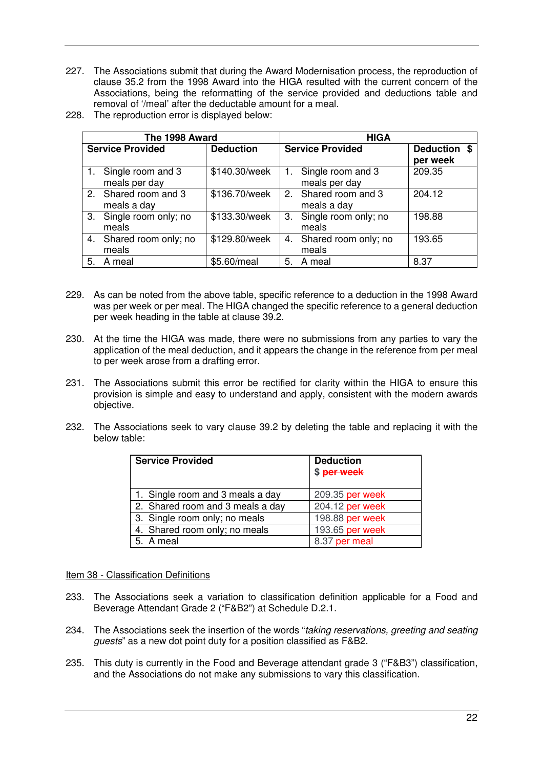- 227. The Associations submit that during the Award Modernisation process, the reproduction of clause 35.2 from the 1998 Award into the HIGA resulted with the current concern of the Associations, being the reformatting of the service provided and deductions table and removal of '/meal' after the deductable amount for a meal.
- 228. The reproduction error is displayed below:

|    | The 1998 Award                        |                  | <b>HIGA</b>                                         |
|----|---------------------------------------|------------------|-----------------------------------------------------|
|    | <b>Service Provided</b>               | <b>Deduction</b> | <b>Service Provided</b><br>Deduction \$<br>per week |
|    | 1. Single room and 3<br>meals per day | \$140.30/week    | 1. Single room and 3<br>209.35<br>meals per day     |
|    | 2. Shared room and 3<br>meals a day   | \$136.70/week    | 2. Shared room and 3<br>204.12<br>meals a day       |
| 3. | Single room only; no<br>meals         | \$133.30/week    | 3. Single room only; no<br>198.88<br>meals          |
| 4. | Shared room only; no<br>meals         | \$129.80/week    | 4. Shared room only; no<br>193.65<br>meals          |
| 5. | A meal                                | \$5.60/meal      | 8.37<br>A meal<br>5.                                |

- 229. As can be noted from the above table, specific reference to a deduction in the 1998 Award was per week or per meal. The HIGA changed the specific reference to a general deduction per week heading in the table at clause 39.2.
- 230. At the time the HIGA was made, there were no submissions from any parties to vary the application of the meal deduction, and it appears the change in the reference from per meal to per week arose from a drafting error.
- 231. The Associations submit this error be rectified for clarity within the HIGA to ensure this provision is simple and easy to understand and apply, consistent with the modern awards objective.
- 232. The Associations seek to vary clause 39.2 by deleting the table and replacing it with the below table:

| <b>Service Provided</b>          | <b>Deduction</b><br>\$ per week |
|----------------------------------|---------------------------------|
| 1. Single room and 3 meals a day | 209.35 per week                 |
| 2. Shared room and 3 meals a day | 204.12 per week                 |
| 3. Single room only; no meals    | 198.88 per week                 |
| 4. Shared room only; no meals    | 193.65 per week                 |
| 5. A meal                        | 8.37 per meal                   |

Item 38 - Classification Definitions

- 233. The Associations seek a variation to classification definition applicable for a Food and Beverage Attendant Grade 2 ("F&B2") at Schedule D.2.1.
- 234. The Associations seek the insertion of the words "*taking reservations, greeting and seating guests*" as a new dot point duty for a position classified as F&B2.
- 235. This duty is currently in the Food and Beverage attendant grade 3 ("F&B3") classification, and the Associations do not make any submissions to vary this classification.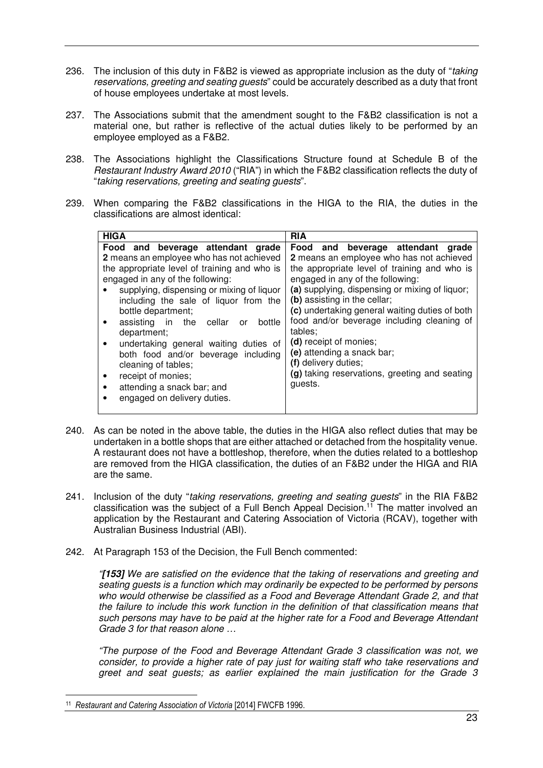- 236. The inclusion of this duty in F&B2 is viewed as appropriate inclusion as the duty of "*taking reservations, greeting and seating guests*" could be accurately described as a duty that front of house employees undertake at most levels.
- 237. The Associations submit that the amendment sought to the F&B2 classification is not a material one, but rather is reflective of the actual duties likely to be performed by an employee employed as a F&B2.
- 238. The Associations highlight the Classifications Structure found at Schedule B of the *Restaurant Industry Award 2010* ("RIA") in which the F&B2 classification reflects the duty of "*taking reservations, greeting and seating guests*".
- 239. When comparing the F&B2 classifications in the HIGA to the RIA, the duties in the classifications are almost identical:

| Food and beverage attendant grade<br>Food and beverage attendant grade<br>2 means an employee who has not achieved<br>2 means an employee who has not achieved                                                                                                                                                                                                                                                                                                                                                                                                                                                                                                                                                                                                                                                                                                             |
|----------------------------------------------------------------------------------------------------------------------------------------------------------------------------------------------------------------------------------------------------------------------------------------------------------------------------------------------------------------------------------------------------------------------------------------------------------------------------------------------------------------------------------------------------------------------------------------------------------------------------------------------------------------------------------------------------------------------------------------------------------------------------------------------------------------------------------------------------------------------------|
| the appropriate level of training and who is<br>the appropriate level of training and who is<br>engaged in any of the following:<br>engaged in any of the following:<br>(a) supplying, dispensing or mixing of liquor;<br>supplying, dispensing or mixing of liquor<br>(b) assisting in the cellar;<br>including the sale of liquor from the<br>(c) undertaking general waiting duties of both<br>bottle department;<br>food and/or beverage including cleaning of<br>assisting in the cellar or<br>bottle<br>tables:<br>department;<br>(d) receipt of monies;<br>undertaking general waiting duties of<br>(e) attending a snack bar;<br>both food and/or beverage including<br>(f) delivery duties;<br>cleaning of tables;<br>(g) taking reservations, greeting and seating<br>receipt of monies;<br>quests.<br>attending a snack bar; and<br>engaged on delivery duties. |

- 240. As can be noted in the above table, the duties in the HIGA also reflect duties that may be undertaken in a bottle shops that are either attached or detached from the hospitality venue. A restaurant does not have a bottleshop, therefore, when the duties related to a bottleshop are removed from the HIGA classification, the duties of an F&B2 under the HIGA and RIA are the same.
- 241. Inclusion of the duty "*taking reservations, greeting and seating guests*" in the RIA F&B2 classification was the subject of a Full Bench Appeal Decision.<sup>11</sup> The matter involved an application by the Restaurant and Catering Association of Victoria (RCAV), together with Australian Business Industrial (ABI).
- 242. At Paragraph 153 of the Decision, the Full Bench commented:

*"***[153]** *We are satisfied on the evidence that the taking of reservations and greeting and seating guests is a function which may ordinarily be expected to be performed by persons who would otherwise be classified as a Food and Beverage Attendant Grade 2, and that the failure to include this work function in the definition of that classification means that such persons may have to be paid at the higher rate for a Food and Beverage Attendant Grade 3 for that reason alone …* 

*"The purpose of the Food and Beverage Attendant Grade 3 classification was not, we consider, to provide a higher rate of pay just for waiting staff who take reservations and greet and seat guests; as earlier explained the main justification for the Grade 3* 

 $\overline{a}$ 

<sup>11</sup> *Restaurant and Catering Association of Victoria* [2014] FWCFB 1996.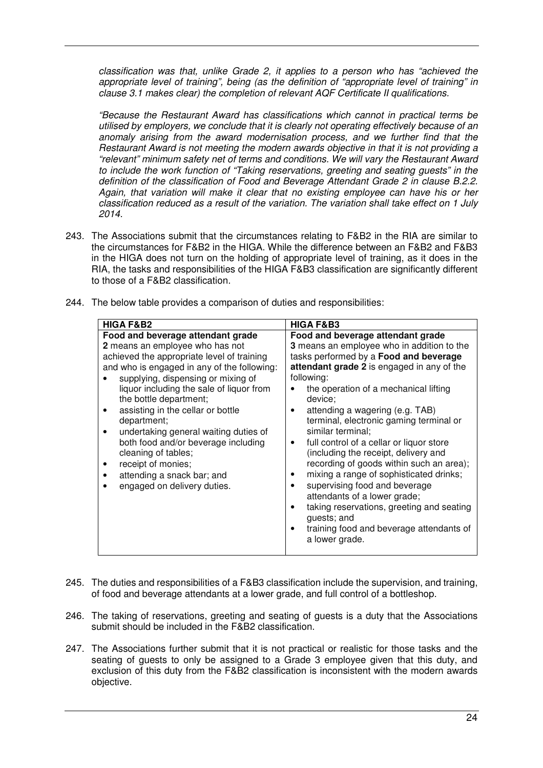*classification was that, unlike Grade 2, it applies to a person who has "achieved the appropriate level of training", being (as the definition of "appropriate level of training" in clause 3.1 makes clear) the completion of relevant AQF Certificate II qualifications.* 

*"Because the Restaurant Award has classifications which cannot in practical terms be utilised by employers, we conclude that it is clearly not operating effectively because of an anomaly arising from the award modernisation process, and we further find that the Restaurant Award is not meeting the modern awards objective in that it is not providing a "relevant" minimum safety net of terms and conditions. We will vary the Restaurant Award to include the work function of "Taking reservations, greeting and seating guests" in the definition of the classification of Food and Beverage Attendant Grade 2 in clause B.2.2. Again, that variation will make it clear that no existing employee can have his or her classification reduced as a result of the variation. The variation shall take effect on 1 July 2014.* 

- 243. The Associations submit that the circumstances relating to F&B2 in the RIA are similar to the circumstances for F&B2 in the HIGA. While the difference between an F&B2 and F&B3 in the HIGA does not turn on the holding of appropriate level of training, as it does in the RIA, the tasks and responsibilities of the HIGA F&B3 classification are significantly different to those of a F&B2 classification.
	- **HIGA F&B2 HIGA F&B3 Food and beverage attendant grade 2** means an employee who has not achieved the appropriate level of training and who is engaged in any of the following: supplying, dispensing or mixing of liquor including the sale of liquor from the bottle department; • assisting in the cellar or bottle department; • undertaking general waiting duties of both food and/or beverage including cleaning of tables; • receipt of monies; • attending a snack bar; and engaged on delivery duties. **Food and beverage attendant grade 3** means an employee who in addition to the tasks performed by a **Food and beverage attendant grade 2** is engaged in any of the following: • the operation of a mechanical lifting device; • attending a wagering (e.g. TAB) terminal, electronic gaming terminal or similar terminal; full control of a cellar or liquor store (including the receipt, delivery and recording of goods within such an area); mixing a range of sophisticated drinks: supervising food and beverage attendants of a lower grade; taking reservations, greeting and seating guests; and • training food and beverage attendants of a lower grade.
- 244. The below table provides a comparison of duties and responsibilities:

- 245. The duties and responsibilities of a F&B3 classification include the supervision, and training, of food and beverage attendants at a lower grade, and full control of a bottleshop.
- 246. The taking of reservations, greeting and seating of guests is a duty that the Associations submit should be included in the F&B2 classification.
- 247. The Associations further submit that it is not practical or realistic for those tasks and the seating of guests to only be assigned to a Grade 3 employee given that this duty, and exclusion of this duty from the F&B2 classification is inconsistent with the modern awards objective.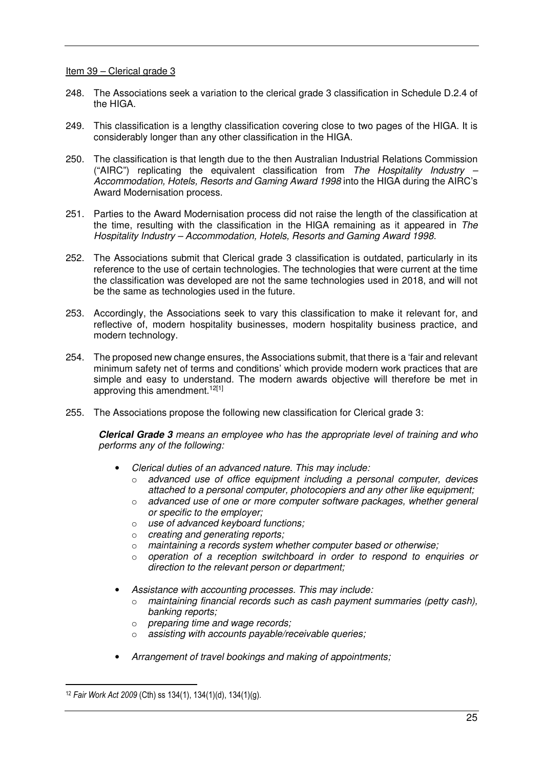Item 39 – Clerical grade 3

- 248. The Associations seek a variation to the clerical grade 3 classification in Schedule D.2.4 of the HIGA.
- 249. This classification is a lengthy classification covering close to two pages of the HIGA. It is considerably longer than any other classification in the HIGA.
- 250. The classification is that length due to the then Australian Industrial Relations Commission ("AIRC") replicating the equivalent classification from *The Hospitality Industry – Accommodation, Hotels, Resorts and Gaming Award 1998* into the HIGA during the AIRC's Award Modernisation process.
- 251. Parties to the Award Modernisation process did not raise the length of the classification at the time, resulting with the classification in the HIGA remaining as it appeared in *The Hospitality Industry – Accommodation, Hotels, Resorts and Gaming Award 1998.*
- 252. The Associations submit that Clerical grade 3 classification is outdated, particularly in its reference to the use of certain technologies. The technologies that were current at the time the classification was developed are not the same technologies used in 2018, and will not be the same as technologies used in the future.
- 253. Accordingly, the Associations seek to vary this classification to make it relevant for, and reflective of, modern hospitality businesses, modern hospitality business practice, and modern technology.
- 254. The proposed new change ensures, the Associations submit, that there is a 'fair and relevant minimum safety net of terms and conditions' which provide modern work practices that are simple and easy to understand. The modern awards objective will therefore be met in approving this amendment.<sup>12[1]</sup>
- 255. The Associations propose the following new classification for Clerical grade 3:

**Clerical Grade 3** *means an employee who has the appropriate level of training and who performs any of the following:* 

- *Clerical duties of an advanced nature. This may include:* 
	- o *advanced use of office equipment including a personal computer, devices attached to a personal computer, photocopiers and any other like equipment;*
	- o *advanced use of one or more computer software packages, whether general or specific to the employer;*
	- o *use of advanced keyboard functions;*
	- o *creating and generating reports;*
	- o *maintaining a records system whether computer based or otherwise;*
	- o *operation of a reception switchboard in order to respond to enquiries or direction to the relevant person or department;*
- *Assistance with accounting processes. This may include:* 
	- o *maintaining financial records such as cash payment summaries (petty cash), banking reports;*
	- o *preparing time and wage records;*
	- o *assisting with accounts payable/receivable queries;*
- *Arrangement of travel bookings and making of appointments;*

 $\overline{a}$ 

<sup>12</sup> *Fair Work Act 2009* (Cth) ss 134(1), 134(1)(d), 134(1)(g).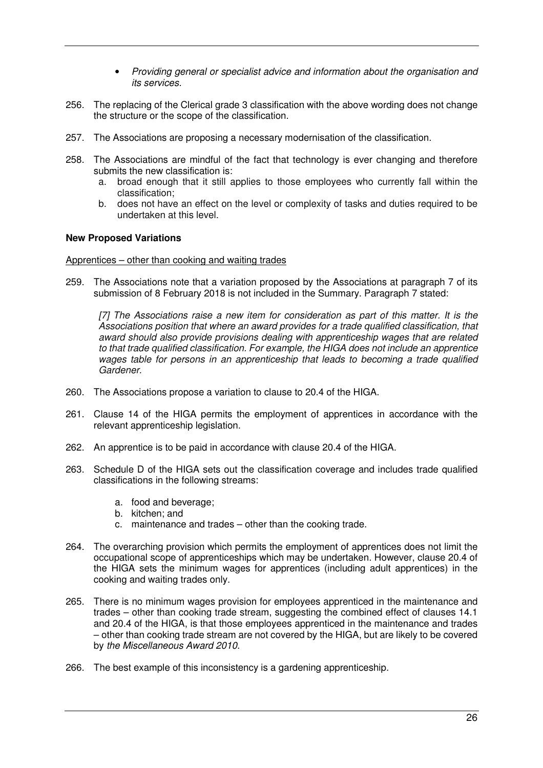- *Providing general or specialist advice and information about the organisation and its services.*
- 256. The replacing of the Clerical grade 3 classification with the above wording does not change the structure or the scope of the classification.
- 257. The Associations are proposing a necessary modernisation of the classification.
- 258. The Associations are mindful of the fact that technology is ever changing and therefore submits the new classification is:
	- a. broad enough that it still applies to those employees who currently fall within the classification;
	- b. does not have an effect on the level or complexity of tasks and duties required to be undertaken at this level.

## **New Proposed Variations**

## Apprentices – other than cooking and waiting trades

259. The Associations note that a variation proposed by the Associations at paragraph 7 of its submission of 8 February 2018 is not included in the Summary. Paragraph 7 stated:

*[7] The Associations raise a new item for consideration as part of this matter. It is the Associations position that where an award provides for a trade qualified classification, that award should also provide provisions dealing with apprenticeship wages that are related to that trade qualified classification. For example, the HIGA does not include an apprentice wages table for persons in an apprenticeship that leads to becoming a trade qualified Gardener.* 

- 260. The Associations propose a variation to clause to 20.4 of the HIGA.
- 261. Clause 14 of the HIGA permits the employment of apprentices in accordance with the relevant apprenticeship legislation.
- 262. An apprentice is to be paid in accordance with clause 20.4 of the HIGA.
- 263. Schedule D of the HIGA sets out the classification coverage and includes trade qualified classifications in the following streams:
	- a. food and beverage;
	- b. kitchen; and
	- c. maintenance and trades other than the cooking trade.
- 264. The overarching provision which permits the employment of apprentices does not limit the occupational scope of apprenticeships which may be undertaken. However, clause 20.4 of the HIGA sets the minimum wages for apprentices (including adult apprentices) in the cooking and waiting trades only.
- 265. There is no minimum wages provision for employees apprenticed in the maintenance and trades – other than cooking trade stream, suggesting the combined effect of clauses 14.1 and 20.4 of the HIGA, is that those employees apprenticed in the maintenance and trades – other than cooking trade stream are not covered by the HIGA, but are likely to be covered by *the Miscellaneous Award 2010*.
- 266. The best example of this inconsistency is a gardening apprenticeship.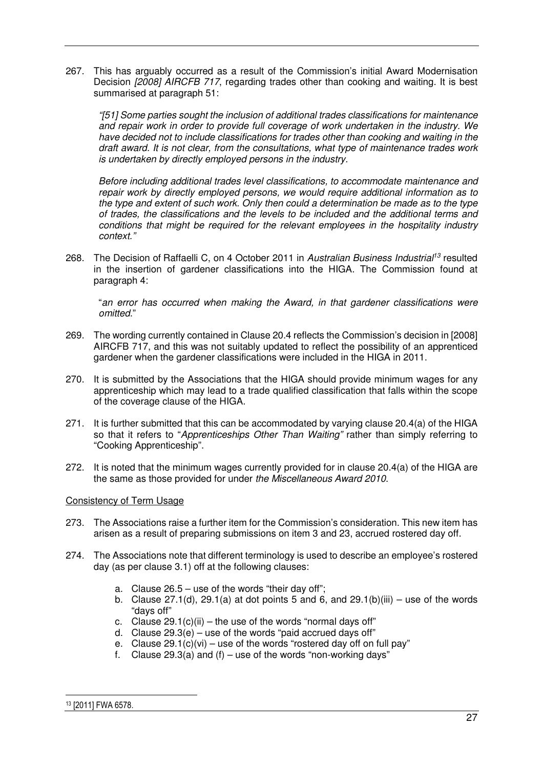267. This has arguably occurred as a result of the Commission's initial Award Modernisation Decision *[2008] AIRCFB 717*, regarding trades other than cooking and waiting. It is best summarised at paragraph 51:

*"[51] Some parties sought the inclusion of additional trades classifications for maintenance and repair work in order to provide full coverage of work undertaken in the industry. We have decided not to include classifications for trades other than cooking and waiting in the draft award. It is not clear, from the consultations, what type of maintenance trades work is undertaken by directly employed persons in the industry.* 

*Before including additional trades level classifications, to accommodate maintenance and repair work by directly employed persons, we would require additional information as to the type and extent of such work. Only then could a determination be made as to the type of trades, the classifications and the levels to be included and the additional terms and conditions that might be required for the relevant employees in the hospitality industry context."* 

268. The Decision of Raffaelli C, on 4 October 2011 in *Australian Business Industrial<sup>13</sup>* resulted in the insertion of gardener classifications into the HIGA. The Commission found at paragraph 4:

"*an error has occurred when making the Award, in that gardener classifications were omitted*."

- 269. The wording currently contained in Clause 20.4 reflects the Commission's decision in [2008] AIRCFB 717, and this was not suitably updated to reflect the possibility of an apprenticed gardener when the gardener classifications were included in the HIGA in 2011.
- 270. It is submitted by the Associations that the HIGA should provide minimum wages for any apprenticeship which may lead to a trade qualified classification that falls within the scope of the coverage clause of the HIGA.
- 271. It is further submitted that this can be accommodated by varying clause 20.4(a) of the HIGA so that it refers to "*Apprenticeships Other Than Waiting"* rather than simply referring to "Cooking Apprenticeship".
- 272. It is noted that the minimum wages currently provided for in clause 20.4(a) of the HIGA are the same as those provided for under *the Miscellaneous Award 2010*.

## Consistency of Term Usage

- 273. The Associations raise a further item for the Commission's consideration. This new item has arisen as a result of preparing submissions on item 3 and 23, accrued rostered day off.
- 274. The Associations note that different terminology is used to describe an employee's rostered day (as per clause 3.1) off at the following clauses:
	- a. Clause 26.5 use of the words "their day off";
	- b. Clause  $27.1(d)$ ,  $29.1(a)$  at dot points 5 and 6, and  $29.1(b)(iii)$  use of the words "days off"
	- c. Clause  $29.1(c)(ii)$  the use of the words "normal days off"
	- d. Clause  $29.3(e)$  use of the words "paid accrued days off"
	- e. Clause  $29.1(c)(vi) use of the words "rostered day off on full pay"$
	- f. Clause 29.3(a) and  $(f)$  use of the words "non-working days"

 $\overline{a}$